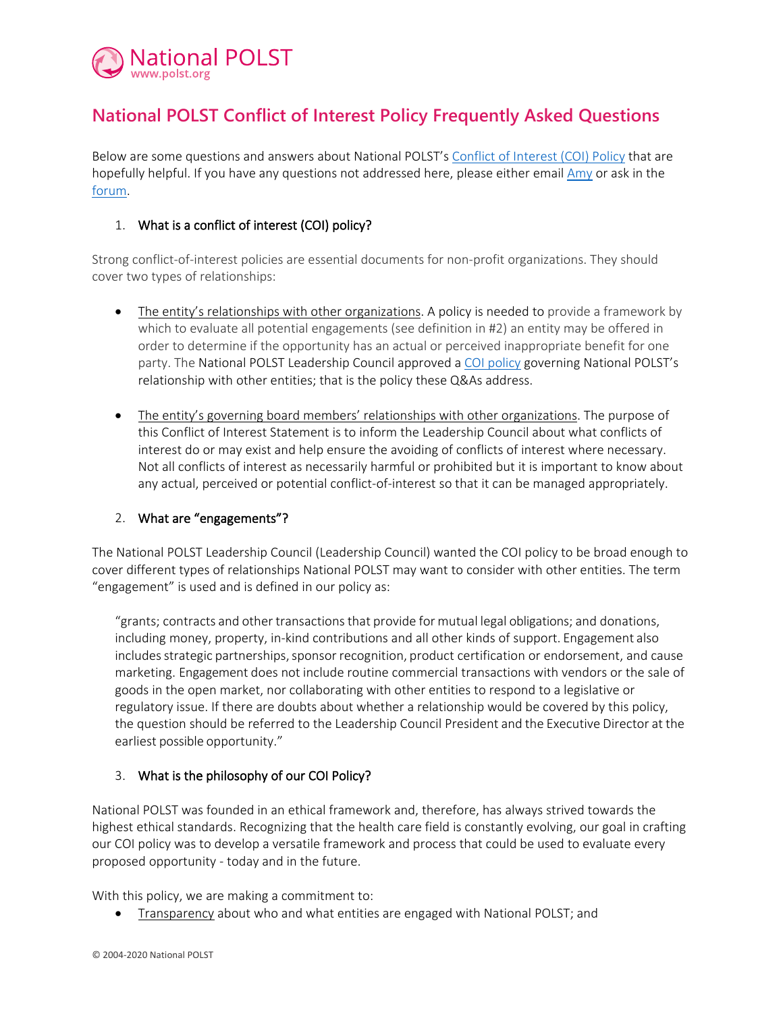

# **National POLST Conflict of Interest Policy Frequently Asked Questions**

Below are some questions and answers about National POLST's [Conflict of Interest \(COI\) Policy](http://polst.org/coi-pdf) that are hopefully helpful. If you have any questions not addressed here, please either email [Amy](mailto:amy@polst.org) or ask in the [forum.](http://polst.org/forum)

### 1. What is a conflict of interest (COI) policy?

Strong conflict-of-interest policies are essential documents for non-profit organizations. They should cover two types of relationships:

- The entity's relationships with other organizations. A policy is needed to provide a framework by which to evaluate all potential engagements (see definition in #2) an entity may be offered in order to determine if the opportunity has an actual or perceived inappropriate benefit for one party. The National POLST Leadership Council approved a [COI policy](http://polst.org/coi-pdf) governing National POLST's relationship with other entities; that is the policy these Q&As address.
- The entity's governing board members' relationships with other organizations. The purpose of this Conflict of Interest Statement is to inform the Leadership Council about what conflicts of interest do or may exist and help ensure the avoiding of conflicts of interest where necessary. Not all conflicts of interest as necessarily harmful or prohibited but it is important to know about any actual, perceived or potential conflict-of-interest so that it can be managed appropriately.

#### 2. What are "engagements"?

The National POLST Leadership Council (Leadership Council) wanted the COI policy to be broad enough to cover different types of relationships National POLST may want to consider with other entities. The term "engagement" is used and is defined in our policy as:

"grants; contracts and other transactionsthat provide for mutual legal obligations; and donations, including money, property, in-kind contributions and all other kinds of support. Engagement also includes strategic partnerships, sponsor recognition, product certification or endorsement, and cause marketing. Engagement does not include routine commercial transactions with vendors or the sale of goods in the open market, nor collaborating with other entities to respond to a legislative or regulatory issue. If there are doubts about whether a relationship would be covered by this policy, the question should be referred to the Leadership Council President and the Executive Director at the earliest possible opportunity."

#### 3. What is the philosophy of our COI Policy?

National POLST was founded in an ethical framework and, therefore, has always strived towards the highest ethical standards. Recognizing that the health care field is constantly evolving, our goal in crafting our COI policy was to develop a versatile framework and process that could be used to evaluate every proposed opportunity - today and in the future.

With this policy, we are making a commitment to:

• Transparency about who and what entities are engaged with National POLST; and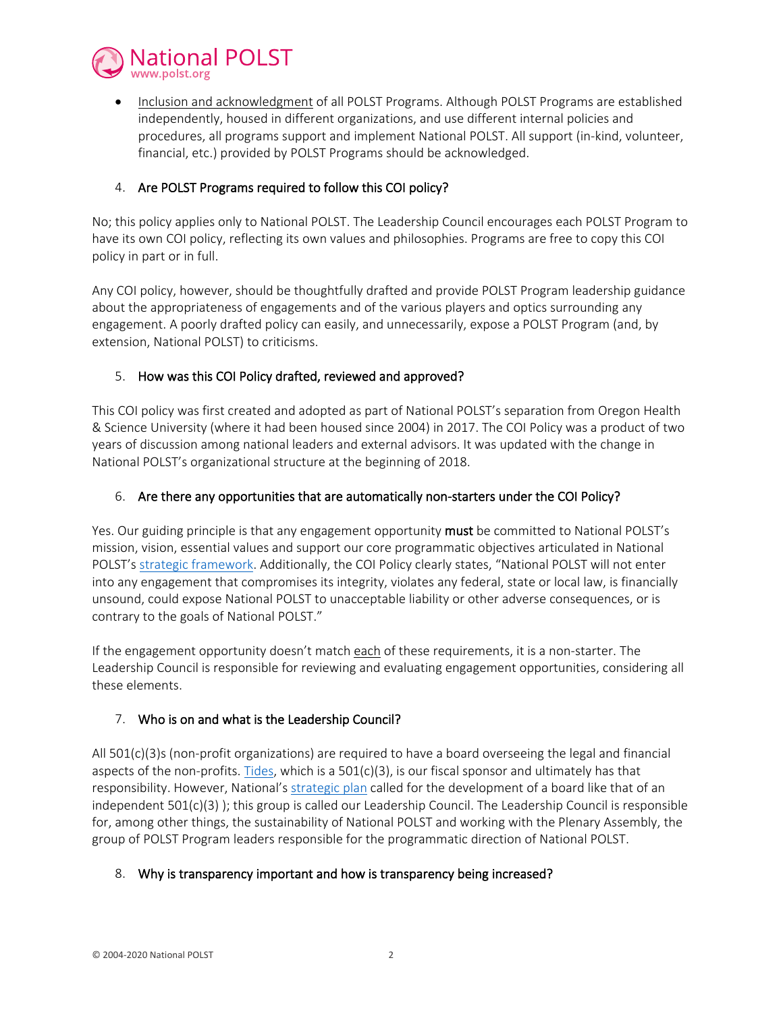

• Inclusion and acknowledgment of all POLST Programs. Although POLST Programs are established independently, housed in different organizations, and use different internal policies and procedures, all programs support and implement National POLST. All support (in-kind, volunteer, financial, etc.) provided by POLST Programs should be acknowledged.

## 4. Are POLST Programs required to follow this COI policy?

No; this policy applies only to National POLST. The Leadership Council encourages each POLST Program to have its own COI policy, reflecting its own values and philosophies. Programs are free to copy this COI policy in part or in full.

Any COI policy, however, should be thoughtfully drafted and provide POLST Program leadership guidance about the appropriateness of engagements and of the various players and optics surrounding any engagement. A poorly drafted policy can easily, and unnecessarily, expose a POLST Program (and, by extension, National POLST) to criticisms.

## 5. How was this COI Policy drafted, reviewed and approved?

This COI policy was first created and adopted as part of National POLST's separation from Oregon Health & Science University (where it had been housed since 2004) in 2017. The COI Policy was a product of two years of discussion among national leaders and external advisors. It was updated with the change in National POLST's organizational structure at the beginning of 2018.

#### 6. Are there any opportunities that are automatically non-starters under the COI Policy?

Yes. Our guiding principle is that any engagement opportunity must be committed to National POLST's mission, vision, essential values and support our core programmatic objectives articulated in National POLST's [strategic framework.](http://polst.org/strategic-plan) Additionally, the COI Policy clearly states, "National POLST will not enter into any engagement that compromises its integrity, violates any federal, state or local law, is financially unsound, could expose National POLST to unacceptable liability or other adverse consequences, or is contrary to the goals of National POLST."

If the engagement opportunity doesn't match each of these requirements, it is a non-starter. The Leadership Council is responsible for reviewing and evaluating engagement opportunities, considering all these elements.

#### 7. Who is on and what is the Leadership Council?

All 501(c)(3)s (non-profit organizations) are required to have a board overseeing the legal and financial aspects of the non-profits. [Tides,](https://www.tides.org/impact-partners/explore-our-partners/) which is a  $501(c)(3)$ , is our fiscal sponsor and ultimately has that responsibility. However, National'[s strategic plan](http://polst.org/strategic-plan) called for the development of a board like that of an independent 501(c)(3) ); this group is called our Leadership Council. The Leadership Council is responsible for, among other things, the sustainability of National POLST and working with the Plenary Assembly, the group of POLST Program leaders responsible for the programmatic direction of National POLST.

#### 8. Why is transparency important and how is transparency being increased?